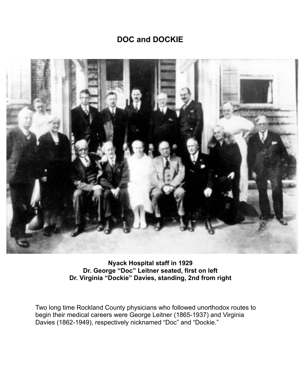## **DOC and DOCKIE**



**Nyack Hospital staff in 1929 Dr. George "Doc" Leitner seated, first on left Dr. Virginia "Dockie" Davies, standing, 2nd from right** 

Two long time Rockland County physicians who followed unorthodox routes to begin their medical careers were George Leitner (1865-1937) and Virginia Davies (1862-1949), respectively nicknamed "Doc" and "Dockie."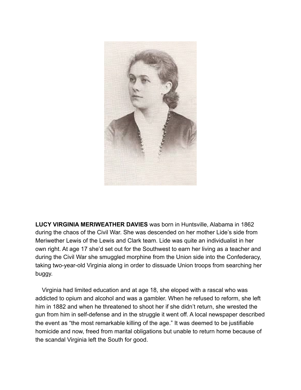

**LUCY VIRGINIA MERIWEATHER DAVIES** was born in Huntsville, Alabama in 1862 during the chaos of the Civil War. She was descended on her mother Lide's side from Meriwether Lewis of the Lewis and Clark team. Lide was quite an individualist in her own right. At age 17 she'd set out for the Southwest to earn her living as a teacher and during the Civil War she smuggled morphine from the Union side into the Confederacy, taking two-year-old Virginia along in order to dissuade Union troops from searching her buggy.

 Virginia had limited education and at age 18, she eloped with a rascal who was addicted to opium and alcohol and was a gambler. When he refused to reform, she left him in 1882 and when he threatened to shoot her if she didn't return, she wrested the gun from him in self-defense and in the struggle it went off. A local newspaper described the event as "the most remarkable killing of the age." It was deemed to be justifiable homicide and now, freed from marital obligations but unable to return home because of the scandal Virginia left the South for good.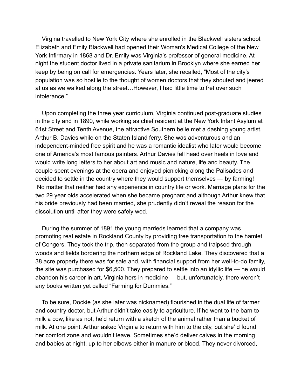Virgina travelled to New York City where she enrolled in the Blackwell sisters school. Elizabeth and Emily Blackwell had opened their Woman's Medical College of the New York Infirmary in 1868 and Dr. Emily was Virginia's professor of general medicine. At night the student doctor lived in a private sanitarium in Brooklyn where she earned her keep by being on call for emergencies. Years later, she recalled, "Most of the city's population was so hostile to the thought of women doctors that they shouted and jeered at us as we walked along the street…However, I had little time to fret over such intolerance."

 Upon completing the three year curriculum, Virginia continued post-graduate studies in the city and in 1890, while working as chief resident at the New York Infant Asylum at 61st Street and Tenth Avenue, the attractive Southern belle met a dashing young artist, Arthur B. Davies while on the Staten Island ferry. She was adventurous and an independent-minded free spirit and he was a romantic idealist who later would become one of America's most famous painters. Arthur Davies fell head over heels in love and would write long letters to her about art and music and nature, life and beauty. The couple spent evenings at the opera and enjoyed picnicking along the Palisades and decided to settle in the country where they would support themselves — by farming! No matter that neither had any experience in country life or work. Marriage plans for the two 29 year olds accelerated when she became pregnant and although Arthur knew that his bride previously had been married, she prudently didn't reveal the reason for the dissolution until after they were safely wed.

 During the summer of 1891 the young marrieds learned that a company was promoting real estate in Rockland County by providing free transportation to the hamlet of Congers. They took the trip, then separated from the group and traipsed through woods and fields bordering the northern edge of Rockland Lake. They discovered that a 38 acre property there was for sale and, with financial support from her well-to-do family, the site was purchased for \$6,500. They prepared to settle into an idyllic life — he would abandon his career in art, Virginia hers in medicine — but, unfortunately, there weren't any books written yet called "Farming for Dummies."

 To be sure, Dockie (as she later was nicknamed) flourished in the dual life of farmer and country doctor, but Arthur didn't take easily to agriculture. If he went to the barn to milk a cow, like as not, he'd return with a sketch of the animal rather than a bucket of milk. At one point, Arthur asked Virginia to return with him to the city, but she' d found her comfort zone and wouldn't leave. Sometimes she'd deliver calves in the morning and babies at night, up to her elbows either in manure or blood. They never divorced,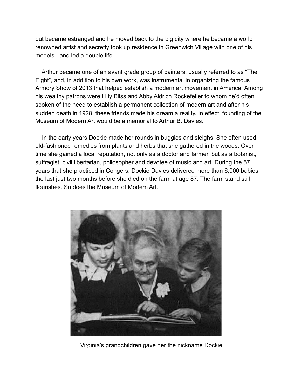but became estranged and he moved back to the big city where he became a world renowned artist and secretly took up residence in Greenwich Village with one of his models - and led a double life.

 Arthur became one of an avant grade group of painters, usually referred to as "The Eight", and, in addition to his own work, was instrumental in organizing the famous Armory Show of 2013 that helped establish a modern art movement in America. Among his wealthy patrons were Lilly Bliss and Abby Aldrich Rockefeller to whom he'd often spoken of the need to establish a permanent collection of modern art and after his sudden death in 1928, these friends made his dream a reality. In effect, founding of the Museum of Modern Art would be a memorial to Arthur B. Davies.

 In the early years Dockie made her rounds in buggies and sleighs. She often used old-fashioned remedies from plants and herbs that she gathered in the woods. Over time she gained a local reputation, not only as a doctor and farmer, but as a botanist, suffragist, civil libertarian, philosopher and devotee of music and art. During the 57 years that she practiced in Congers, Dockie Davies delivered more than 6,000 babies, the last just two months before she died on the farm at age 87. The farm stand still flourishes. So does the Museum of Modern Art.



Virginia's grandchildren gave her the nickname Dockie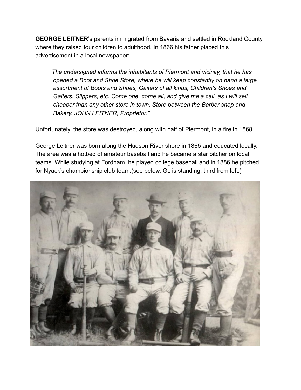**GEORGE LEITNER**'s parents immigrated from Bavaria and settled in Rockland County where they raised four children to adulthood. In 1866 his father placed this advertisement in a local newspaper:

 *The undersigned informs the inhabitants of Piermont and vicinity, that he has opened a Boot and Shoe Store, where he will keep constantly on hand a large assortment of Boots and Shoes, Gaiters of all kinds, Children's Shoes and Gaiters, Slippers, etc. Come one, come all, and give me a call, as I will sell cheaper than any other store in town. Store between the Barber shop and Bakery. JOHN LEITNER, Proprietor."* 

Unfortunately, the store was destroyed, along with half of Piermont, in a fire in 1868.

George Leitner was born along the Hudson River shore in 1865 and educated locally. The area was a hotbed of amateur baseball and he became a star pitcher on local teams. While studying at Fordham, he played college baseball and in 1886 he pitched for Nyack's championship club team.(see below, GL is standing, third from left.)

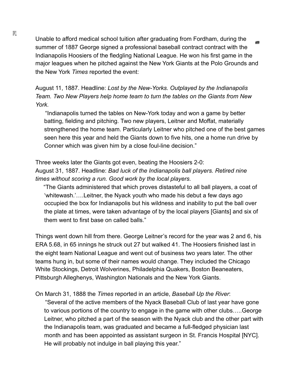Unable to afford medical school tuition after graduating from Fordham, during the summer of 1887 George signed a professional baseball contract contract with the Indianapolis Hoosiers of the fledgling National League. He won his first game in the major leagues when he pitched against the New York Giants at the Polo Grounds and the New York *Times* reported the event:

August 11, 1887. Headline: *Lost by the New-Yorks. Outplayed by the Indianapolis Team. Two New Players help home team to turn the tables on the Giants from New York.*

 "Indianapolis turned the tables on New-York today and won a game by better batting, fielding and pitching. Two new players, Leitner and Moffat, materially strengthened the home team. Particularly Leitner who pitched one of the best games seen here this year and held the Giants down to five hits, one a home run drive by Conner which was given him by a close foul-line decision."

Three weeks later the Giants got even, beating the Hoosiers 2-0: August 31, 1887. Headline: *Bad luck of the Indianapolis ball players. Retired nine times without scoring a run. Good work by the local players.* 

"The Giants administered that which proves distasteful to all ball players, a coat of 'whitewash.'….Leitner, the Nyack youth who made his debut a few days ago occupied the box for Indianapolis but his wildness and inability to put the ball over the plate at times, were taken advantage of by the local players [Giants] and six of them went to first base on called balls."

Things went down hill from there. George Leitner's record for the year was 2 and 6, his ERA 5.68, in 65 innings he struck out 27 but walked 41. The Hoosiers finished last in the eight team National League and went out of business two years later. The other teams hung in, but some of their names would change. They included the Chicago White Stockings, Detroit Wolverines, Philadelphia Quakers, Boston Beaneaters, Pittsburgh Alleghenys, Washington Nationals and the New York Giants.

On March 31, 1888 the *Times* reported in an article, *Baseball Up the River*: "Several of the active members of the Nyack Baseball Club of last year have gone to various portions of the country to engage in the game with other clubs…..George Leitner, who pitched a part of the season with the Nyack club and the other part with

the Indianapolis team, was graduated and became a full-fledged physician last month and has been appointed as assistant surgeon in St. Francis Hospital [NYC]. He will probably not indulge in ball playing this year."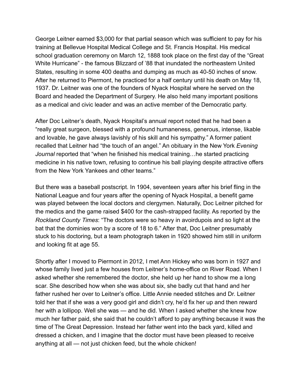George Leitner earned \$3,000 for that partial season which was sufficient to pay for his training at Bellevue Hospital Medical College and St. Francis Hospital. His medical school graduation ceremony on March 12, 1888 took place on the first day of the "Great White Hurricane" - the famous Blizzard of '88 that inundated the northeastern United States, resulting in some 400 deaths and dumping as much as 40-50 inches of snow. After he returned to Piermont, he practiced for a half century until his death on May 18, 1937. Dr. Leitner was one of the founders of Nyack Hospital where he served on the Board and headed the Department of Surgery. He also held many important positions as a medical and civic leader and was an active member of the Democratic party.

After Doc Leitner's death, Nyack Hospital's annual report noted that he had been a "really great surgeon, blessed with a profound humaneness, generous, intense, likable and lovable, he gave always lavishly of his skill and his sympathy." A former patient recalled that Leitner had "the touch of an angel." An obituary in the New York *Evening Journal* reported that "when he finished his medical training…he started practicing medicine in his native town, refusing to continue his ball playing despite attractive offers from the New York Yankees and other teams."

But there was a baseball postscript. In 1904, seventeen years after his brief fling in the National League and four years after the opening of Nyack Hospital, a benefit game was played between the local doctors and clergymen. Naturally, Doc Leitner pitched for the medics and the game raised \$400 for the cash-strapped facility. As reported by the *Rockland County Times*: "The doctors were so heavy in avoirdupois and so light at the bat that the dominies won by a score of 18 to 6." After that, Doc Leitner presumably stuck to his doctoring, but a team photograph taken in 1920 showed him still in uniform and looking fit at age 55.

Shortly after I moved to Piermont in 2012, I met Ann Hickey who was born in 1927 and whose family lived just a few houses from Leitner's home-office on River Road. When I asked whether she remembered the doctor, she held up her hand to show me a long scar. She described how when she was about six, she badly cut that hand and her father rushed her over to Leitner's office. Little Annie needed stitches and Dr. Leitner told her that if she was a very good girl and didn't cry, he'd fix her up and then reward her with a lollipop. Well she was — and he did. When I asked whether she knew how much her father paid, she said that he couldn't afford to pay anything because it was the time of The Great Depression. Instead her father went into the back yard, killed and dressed a chicken, and I imagine that the doctor must have been pleased to receive anything at all — not just chicken feed, but the whole chicken!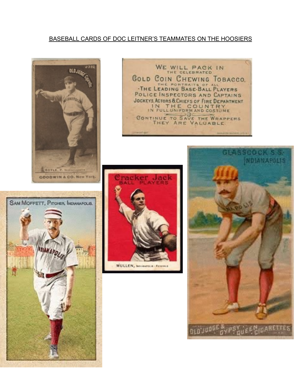## BASEBALL CARDS OF DOC LEITNER'S TEAMMATES ON THE HOOSIERS









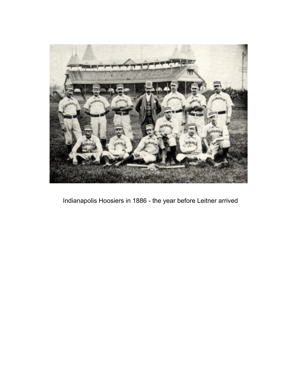

Indianapolis Hoosiers in 1886 - the year before Leitner arrived